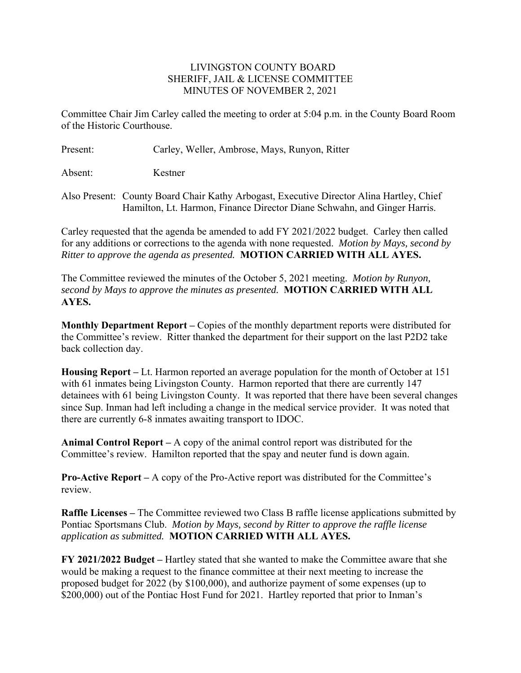## LIVINGSTON COUNTY BOARD SHERIFF, JAIL & LICENSE COMMITTEE MINUTES OF NOVEMBER 2, 2021

Committee Chair Jim Carley called the meeting to order at 5:04 p.m. in the County Board Room of the Historic Courthouse.

Present: Carley, Weller, Ambrose, Mays, Runyon, Ritter

Absent: Kestner

Also Present: County Board Chair Kathy Arbogast, Executive Director Alina Hartley, Chief Hamilton, Lt. Harmon, Finance Director Diane Schwahn, and Ginger Harris.

Carley requested that the agenda be amended to add FY 2021/2022 budget. Carley then called for any additions or corrections to the agenda with none requested. *Motion by Mays, second by Ritter to approve the agenda as presented.* **MOTION CARRIED WITH ALL AYES.** 

The Committee reviewed the minutes of the October 5, 2021 meeting. *Motion by Runyon, second by Mays to approve the minutes as presented.* **MOTION CARRIED WITH ALL AYES.** 

**Monthly Department Report –** Copies of the monthly department reports were distributed for the Committee's review. Ritter thanked the department for their support on the last P2D2 take back collection day.

**Housing Report –** Lt. Harmon reported an average population for the month of October at 151 with 61 inmates being Livingston County. Harmon reported that there are currently 147 detainees with 61 being Livingston County. It was reported that there have been several changes since Sup. Inman had left including a change in the medical service provider. It was noted that there are currently 6-8 inmates awaiting transport to IDOC.

**Animal Control Report –** A copy of the animal control report was distributed for the Committee's review. Hamilton reported that the spay and neuter fund is down again.

**Pro-Active Report –** A copy of the Pro-Active report was distributed for the Committee's review.

**Raffle Licenses –** The Committee reviewed two Class B raffle license applications submitted by Pontiac Sportsmans Club. *Motion by Mays, second by Ritter to approve the raffle license application as submitted.* **MOTION CARRIED WITH ALL AYES.** 

**FY 2021/2022 Budget –** Hartley stated that she wanted to make the Committee aware that she would be making a request to the finance committee at their next meeting to increase the proposed budget for 2022 (by \$100,000), and authorize payment of some expenses (up to \$200,000) out of the Pontiac Host Fund for 2021. Hartley reported that prior to Inman's